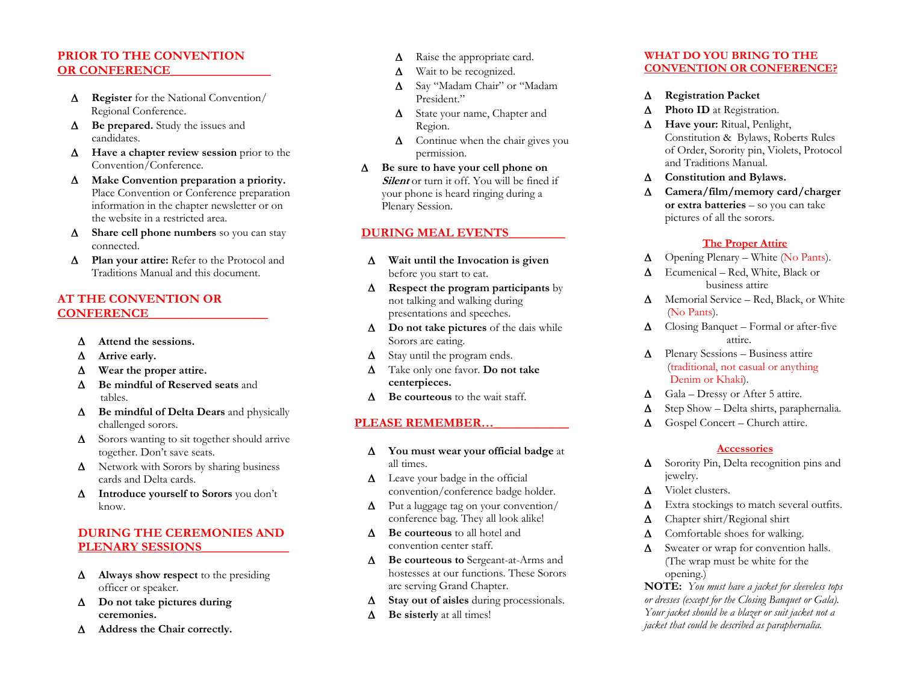# **PRIOR TO THE CONVENTION OR CONFERENCE**

- Δ **Register** for the National Convention/ Regional Conference.
- Δ **Be prepared.** Study the issues and candidates.
- Δ **Have a chapter review session** prior to the Convention/Conference.
- Δ **Make Convention preparation a priority.**  Place Convention or Conference preparation information in the chapter newsletter or on the website in a restricted area.
- Δ **Share cell phone numbers** so you can stay connected.
- Δ **Plan your attire:** Refer to the Protocol and Traditions Manual and this document.

## **AT THE CONVENTION OR CONFERENCE\_\_\_\_\_\_\_\_\_\_\_\_\_\_\_\_\_\_\_**

- Δ**Attend the sessions.**
- Δ**Arrive early.**
- Δ**Wear the proper attire.**
- Δ **Be mindful of Reserved seats** and tables.
- Δ **Be mindful of Delta Dears** and physically challenged sorors.
- Δ Sorors wanting to sit together should arrive together. Don't save seats.
- Δ Network with Sorors by sharing business cards and Delta cards.
- Δ **Introduce yourself to Sorors** you don't know.

# **DURING THE CEREMONIES AND PLENARY SESSIONS\_\_\_\_\_\_\_\_\_\_\_\_\_\_**

- Δ **Always show respect** to the presiding officer or speaker.
- Δ **Do not take pictures during ceremonies.**
- Δ **Address the Chair correctly.**
- Δ Raise the appropriate card.
- ΔWait to be recognized.
- Δ Say "Madam Chair" or "Madam President."
- Δ State your name, Chapter and Region.
- Δ Continue when the chair gives you permission.
- Δ **Be sure to have your cell phone on Silent** or turn it off. You will be fined if your phone is heard ringing during a Plenary Session.

#### **DURING MEAL EVENTS\_\_\_\_\_\_\_\_\_**

- Δ **Wait until the Invocation is given**  before you start to eat.
- Δ **Respect the program participants** by not talking and walking during presentations and speeches.
- Δ **Do not take pictures** of the dais while Sorors are eating.
- ΔStay until the program ends.
- Δ Take only one favor. **Do not take centerpieces.**
- Δ **Be courteous** to the wait staff.

## **PLEASE REMEMBER…\_\_\_\_\_\_\_\_\_\_\_\_**

- Δ **You must wear your official badge** at all times.
- Δ Leave your badge in the official convention/conference badge holder.
- Δ Put a luggage tag on your convention/ conference bag. They all look alike!
- Δ **Be courteous** to all hotel and convention center staff.
- Δ **Be courteous to** Sergeant-at-Arms and hostesses at our functions. These Sorors are serving Grand Chapter.
- Δ**Stay out of aisles** during processionals.
- Δ**Be sisterly** at all times!

#### **WHAT DO YOU BRING TO THE CONVENTION OR CONFERENCE?**

- Δ**Registration Packet**
- Δ**Photo ID** at Registration.
- Δ **Have your:** Ritual, Penlight, Constitution & Bylaws, Roberts Rules of Order, Sorority pin, Violets, Protocol and Traditions Manual.
- Δ**Constitution and Bylaws.**
- Δ **Camera/film/memory card/charger or extra batteries** – so you can take pictures of all the sorors.

#### **The Proper Attire**

- ΔOpening Plenary – White (No Pants).
- Δ Ecumenical – Red, White, Black or business attire
- Δ Memorial Service – Red, Black, or White (No Pants).
- Δ Closing Banquet – Formal or after-five attire.
- $\Delta$  Plenary Sessions Business attire (traditional, not casual or anything Denim or Khaki).
- ΔGala – Dressy or After 5 attire.
- ΔStep Show – Delta shirts, paraphernalia.
- ΔGospel Concert – Church attire.

## **Accessories**

- Δ Sorority Pin, Delta recognition pins and jewelry.
- ΔViolet clusters.
- ΔExtra stockings to match several outfits.
- ΔChapter shirt/Regional shirt
- ΔComfortable shoes for walking.
- Δ Sweater or wrap for convention halls. (The wrap must be white for the opening.)

**NOTE:** *You must have a jacket for sleeveless tops or dresses (except for the Closing Banquet or Gala). Your jacket should be a blazer or suit jacket not a jacket that could be described as paraphernalia.*